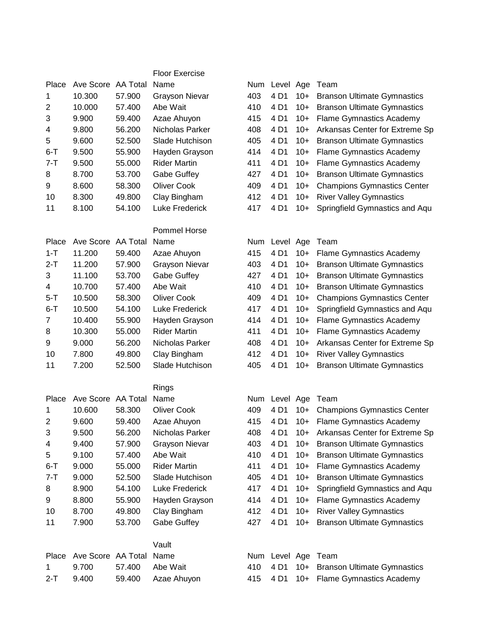|                |                    |          | <b>Floor Exercise</b> |     |                    |       |                                    |
|----------------|--------------------|----------|-----------------------|-----|--------------------|-------|------------------------------------|
| Place          | Ave Score          | AA Total | Name                  | Num | Level Age          |       | Team                               |
| 1              | 10.300             | 57.900   | <b>Grayson Nievar</b> | 403 | 4 D1               | $10+$ | <b>Branson Ultimate Gymnastics</b> |
| $\overline{c}$ | 10.000             | 57.400   | Abe Wait              | 410 | 4 D1               | $10+$ | <b>Branson Ultimate Gymnastics</b> |
| 3              | 9.900              | 59.400   | Azae Ahuyon           | 415 | 4 D1               | $10+$ | <b>Flame Gymnastics Academy</b>    |
| 4              | 9.800              | 56.200   | Nicholas Parker       | 408 | 4 D1               | $10+$ | Arkansas Center for Extreme Sp     |
| 5              | 9.600              | 52.500   | Slade Hutchison       | 405 | 4 D1               | $10+$ | <b>Branson Ultimate Gymnastics</b> |
| $6 - T$        | 9.500              | 55.900   | Hayden Grayson        | 414 | 4 D1               | $10+$ | <b>Flame Gymnastics Academy</b>    |
| $7 - T$        | 9.500              | 55.000   | <b>Rider Martin</b>   | 411 | 4 D1               | $10+$ | <b>Flame Gymnastics Academy</b>    |
| 8              | 8.700              | 53.700   | Gabe Guffey           | 427 | 4 D1               | $10+$ | <b>Branson Ultimate Gymnastics</b> |
| 9              | 8.600              | 58.300   | <b>Oliver Cook</b>    | 409 | 4 D1               | $10+$ | <b>Champions Gymnastics Center</b> |
| 10             | 8.300              | 49.800   | Clay Bingham          | 412 | 4 D1               | $10+$ | <b>River Valley Gymnastics</b>     |
| 11             | 8.100              | 54.100   | Luke Frederick        | 417 | 4 D1               | $10+$ | Springfield Gymnastics and Aqu     |
|                |                    |          | <b>Pommel Horse</b>   |     |                    |       |                                    |
| Place          | Ave Score AA Total |          | Name                  |     | Num Level Age      |       | Team                               |
| $1 - T$        | 11.200             | 59.400   | Azae Ahuyon           | 415 | 4 D1               | $10+$ | <b>Flame Gymnastics Academy</b>    |
| $2-T$          | 11.200             | 57.900   | <b>Grayson Nievar</b> | 403 | 4 D1               | $10+$ | <b>Branson Ultimate Gymnastics</b> |
| 3              | 11.100             | 53.700   | Gabe Guffey           | 427 | 4 D1               | $10+$ | <b>Branson Ultimate Gymnastics</b> |
| 4              | 10.700             | 57.400   | Abe Wait              | 410 | 4 D1               | $10+$ | <b>Branson Ultimate Gymnastics</b> |
| $5 - T$        | 10.500             | 58.300   | <b>Oliver Cook</b>    | 409 | 4 D1               | $10+$ | <b>Champions Gymnastics Center</b> |
| $6 - T$        | 10.500             | 54.100   | <b>Luke Frederick</b> | 417 | 4 D1               | $10+$ | Springfield Gymnastics and Aqu     |
| $\overline{7}$ | 10.400             | 55.900   | Hayden Grayson        | 414 | 4 D1               | $10+$ | <b>Flame Gymnastics Academy</b>    |
| 8              | 10.300             | 55.000   | <b>Rider Martin</b>   | 411 | 4 D1               | $10+$ | <b>Flame Gymnastics Academy</b>    |
| 9              | 9.000              | 56.200   | Nicholas Parker       | 408 | 4 D1               | $10+$ | Arkansas Center for Extreme Sp     |
| 10             | 7.800              | 49.800   | Clay Bingham          | 412 | 4 D1               | $10+$ | <b>River Valley Gymnastics</b>     |
| 11             | 7.200              | 52.500   | Slade Hutchison       | 405 | 4 D1               | $10+$ | <b>Branson Ultimate Gymnastics</b> |
|                |                    |          | Rings                 |     |                    |       |                                    |
| Place          | Ave Score AA Total |          | Name                  |     | Num Level Age      |       | Team                               |
| 1              | 10.600             | 58.300   | <b>Oliver Cook</b>    | 409 | 4 D1               | $10+$ | <b>Champions Gymnastics Center</b> |
| $\overline{2}$ | 9.600              | 59.400   | Azae Ahuyon           | 415 | 4 D1               | $10+$ | <b>Flame Gymnastics Academy</b>    |
| 3              | 9.500              | 56.200   | Nicholas Parker       | 408 | 4 D1               |       | 10+ Arkansas Center for Extreme Sp |
| 4              | 9.400              | 57.900   | <b>Grayson Nievar</b> | 403 | 4 D1               |       | 10+ Branson Ultimate Gymnastics    |
| 5              | 9.100              | 57.400   | Abe Wait              | 410 | 4 D1               | $10+$ | <b>Branson Ultimate Gymnastics</b> |
| $6 - T$        | 9.000              | 55.000   | <b>Rider Martin</b>   | 411 | 4 D1               | $10+$ | <b>Flame Gymnastics Academy</b>    |
| $7 - T$        | 9.000              | 52.500   | Slade Hutchison       | 405 | 4 D1               | $10+$ | <b>Branson Ultimate Gymnastics</b> |
| 8              | 8.900              | 54.100   | Luke Frederick        | 417 | 4 D1               | $10+$ | Springfield Gymnastics and Aqu     |
| 9              | 8.800              | 55.900   | Hayden Grayson        | 414 | 4 D1               | $10+$ | <b>Flame Gymnastics Academy</b>    |
| 10             | 8.700              | 49.800   | Clay Bingham          | 412 | 4 D1               | $10+$ | <b>River Valley Gymnastics</b>     |
| 11             | 7.900              | 53.700   | Gabe Guffey           | 427 | 4 D1               | $10+$ | <b>Branson Ultimate Gymnastics</b> |
|                |                    |          | Vault                 |     |                    |       |                                    |
| Place          | Ave Score AA Total |          | Name                  |     | Num Level Age Team |       |                                    |
| 1              | 9.700              | 57.400   | Abe Wait              | 410 | 4 D1               | $10+$ | <b>Branson Ultimate Gymnastics</b> |
| $2-T$          | 9.400              | 59.400   | Azae Ahuyon           | 415 | 4 D1               |       | 10+ Flame Gymnastics Academy       |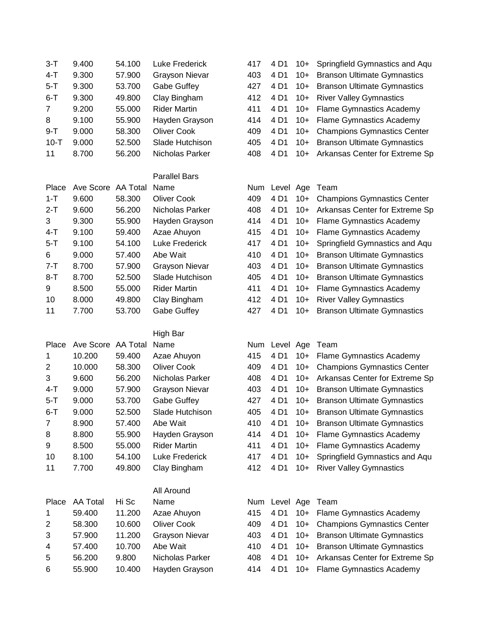| $3 - T$        | 9.400              | 54.100 | Luke Frederick        | 417        | 4 D1          | 10+   | Springfield Gymnastics and Aqu                                           |
|----------------|--------------------|--------|-----------------------|------------|---------------|-------|--------------------------------------------------------------------------|
| $4-T$          | 9.300              | 57.900 | <b>Grayson Nievar</b> | 403        | 4 D1          | $10+$ | <b>Branson Ultimate Gymnastics</b>                                       |
| $5 - T$        | 9.300              | 53.700 | Gabe Guffey           | 427        | 4 D1          | $10+$ | <b>Branson Ultimate Gymnastics</b>                                       |
| $6 - T$        | 9.300              | 49.800 | Clay Bingham          | 412        | 4 D1          | $10+$ | <b>River Valley Gymnastics</b>                                           |
| 7              | 9.200              | 55.000 | <b>Rider Martin</b>   | 411        | 4 D1          | $10+$ | <b>Flame Gymnastics Academy</b>                                          |
| 8              | 9.100              | 55.900 | Hayden Grayson        | 414        | 4 D1          | $10+$ | <b>Flame Gymnastics Academy</b>                                          |
| $9 - T$        | 9.000              | 58.300 | <b>Oliver Cook</b>    | 409        | 4 D1          | $10+$ | <b>Champions Gymnastics Center</b>                                       |
| $10-T$         | 9.000              | 52.500 | Slade Hutchison       | 405        | 4 D1          | $10+$ | <b>Branson Ultimate Gymnastics</b>                                       |
| 11             | 8.700              | 56.200 | Nicholas Parker       | 408        | 4 D1          | $10+$ | Arkansas Center for Extreme Sp                                           |
|                |                    |        |                       |            |               |       |                                                                          |
|                |                    |        | <b>Parallel Bars</b>  |            |               |       |                                                                          |
| Place          | Ave Score AA Total |        | Name                  | Num        | Level Age     |       | Team                                                                     |
| $1 - T$        | 9.600              | 58.300 | <b>Oliver Cook</b>    | 409        | 4 D1          | $10+$ | <b>Champions Gymnastics Center</b>                                       |
| $2-T$          | 9.600              | 56.200 | Nicholas Parker       | 408        | 4 D1          | $10+$ | Arkansas Center for Extreme Sp                                           |
| 3              | 9.300              | 55.900 | Hayden Grayson        | 414        | 4 D1          | $10+$ | <b>Flame Gymnastics Academy</b>                                          |
| $4 - T$        | 9.100              | 59.400 | Azae Ahuyon           | 415        | 4 D1          | $10+$ | <b>Flame Gymnastics Academy</b>                                          |
| $5 - T$        | 9.100              | 54.100 | <b>Luke Frederick</b> | 417        | 4 D1          | $10+$ | Springfield Gymnastics and Aqu                                           |
| 6              | 9.000              | 57.400 | Abe Wait              | 410        | 4 D1          | $10+$ | <b>Branson Ultimate Gymnastics</b>                                       |
| $7 - T$        | 8.700              | 57.900 | <b>Grayson Nievar</b> | 403        | 4 D1          | $10+$ | <b>Branson Ultimate Gymnastics</b>                                       |
| $8-T$          | 8.700              | 52.500 | Slade Hutchison       | 405        | 4 D1          | $10+$ | <b>Branson Ultimate Gymnastics</b>                                       |
| 9              | 8.500              | 55.000 | <b>Rider Martin</b>   | 411        | 4 D1          | $10+$ | <b>Flame Gymnastics Academy</b>                                          |
| 10             | 8.000              | 49.800 | Clay Bingham          | 412        | 4 D1          | $10+$ | <b>River Valley Gymnastics</b>                                           |
| 11             | 7.700              | 53.700 | Gabe Guffey           | 427        | 4 D1          | $10+$ | <b>Branson Ultimate Gymnastics</b>                                       |
|                |                    |        |                       |            |               |       |                                                                          |
|                |                    |        |                       |            |               |       |                                                                          |
|                |                    |        | High Bar              |            |               |       |                                                                          |
| Place          | Ave Score AA Total |        | Name                  |            | Num Level Age |       | Team                                                                     |
| 1              | 10.200             | 59.400 | Azae Ahuyon           | 415        | 4 D1          | $10+$ |                                                                          |
| 2              | 10.000             | 58.300 | <b>Oliver Cook</b>    | 409        | 4 D1          | $10+$ | Flame Gymnastics Academy<br><b>Champions Gymnastics Center</b>           |
| 3              | 9.600              | 56.200 | Nicholas Parker       | 408        | 4 D1          | $10+$ | Arkansas Center for Extreme Sp                                           |
| $4 - T$        | 9.000              | 57.900 | <b>Grayson Nievar</b> | 403        | 4 D1          | $10+$ |                                                                          |
| $5 - T$        | 9.000              | 53.700 | Gabe Guffey           | 427        | 4 D1          | $10+$ | <b>Branson Ultimate Gymnastics</b><br><b>Branson Ultimate Gymnastics</b> |
| $6 - T$        | 9.000              | 52.500 | Slade Hutchison       | 405        | 4 D1          |       |                                                                          |
| $\overline{7}$ |                    |        |                       |            | 4 D1          | $10+$ | <b>Branson Ultimate Gymnastics</b>                                       |
|                | 8.900              | 57.400 | Abe Wait              | 410<br>414 | 4 D1          | $10+$ | 10+ Branson Ultimate Gymnastics                                          |
| 8              | 8.800              | 55.900 | Hayden Grayson        |            |               |       | <b>Flame Gymnastics Academy</b>                                          |
| 9              | 8.500              | 55.000 | <b>Rider Martin</b>   | 411        | 4 D1          | $10+$ | <b>Flame Gymnastics Academy</b>                                          |
| 10             | 8.100              | 54.100 | Luke Frederick        | 417        | 4 D1          | $10+$ | Springfield Gymnastics and Aqu                                           |
| 11             | 7.700              | 49.800 | Clay Bingham          | 412        | 4 D1          | $10+$ | <b>River Valley Gymnastics</b>                                           |
|                |                    |        | All Around            |            |               |       |                                                                          |
| Place          | <b>AA Total</b>    | Hi Sc  | Name                  |            | Num Level Age |       | Team                                                                     |
| 1              | 59.400             | 11.200 | Azae Ahuyon           | 415        | 4 D1          | $10+$ | <b>Flame Gymnastics Academy</b>                                          |
| 2              | 58.300             | 10.600 | <b>Oliver Cook</b>    | 409        | 4 D1          | $10+$ | <b>Champions Gymnastics Center</b>                                       |
| 3              | 57.900             | 11.200 | <b>Grayson Nievar</b> | 403        | 4 D1          | $10+$ | <b>Branson Ultimate Gymnastics</b>                                       |
| 4              | 57.400             | 10.700 | Abe Wait              | 410        | 4 D1          | $10+$ | <b>Branson Ultimate Gymnastics</b>                                       |
| 5              | 56.200             | 9.800  | Nicholas Parker       | 408        | 4 D1          | $10+$ | Arkansas Center for Extreme Sp                                           |
| 6              | 55.900             | 10.400 | Hayden Grayson        | 414        | 4 D1          | $10+$ | Flame Gymnastics Academy                                                 |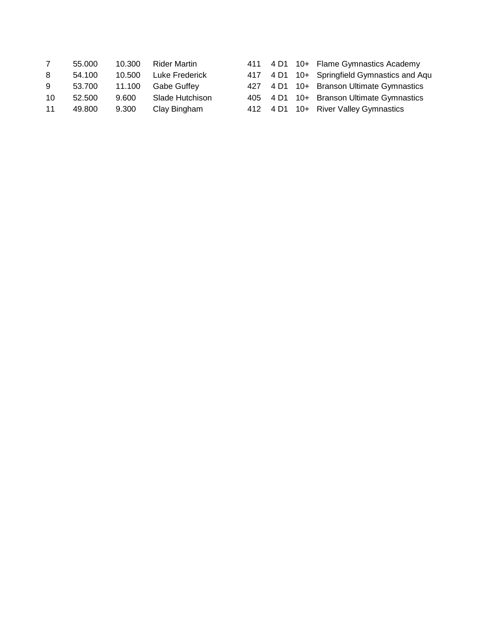|    | 55,000 | 10.300 | Rider Martin       |  | 411 4 D1 10+ Flame Gymnastics Academy       |
|----|--------|--------|--------------------|--|---------------------------------------------|
| 8  | 54.100 | 10.500 | Luke Frederick     |  | 417 4 D1 10+ Springfield Gymnastics and Aqu |
| 9  | 53.700 | 11.100 | <b>Gabe Guffev</b> |  | 427 4 D1 10+ Branson Ultimate Gymnastics    |
| 10 | 52.500 | 9.600  | Slade Hutchison    |  | 405 4 D1 10+ Branson Ultimate Gymnastics    |
| 11 | 49.800 | 9.300  | Clay Bingham       |  | 412 4 D1 10+ River Valley Gymnastics        |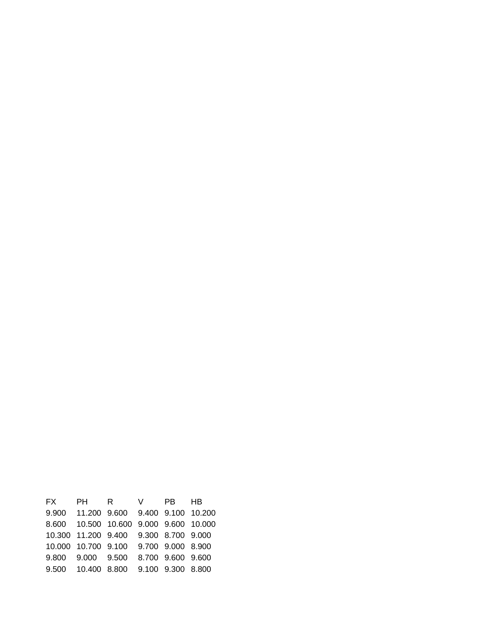| FX PH R V PB HB                             |  |  |
|---------------------------------------------|--|--|
| 9.900  11.200  9.600  9.400  9.100  10.200  |  |  |
| 8.600  10.500  10.600  9.000  9.600  10.000 |  |  |
| 10.300 11.200 9.400 9.300 8.700 9.000       |  |  |
| 10.000 10.700 9.100 9.700 9.000 8.900       |  |  |
| 9.800 9.000 9.500 8.700 9.600 9.600         |  |  |
| 9.500  10.400  8.800  9.100  9.300  8.800   |  |  |